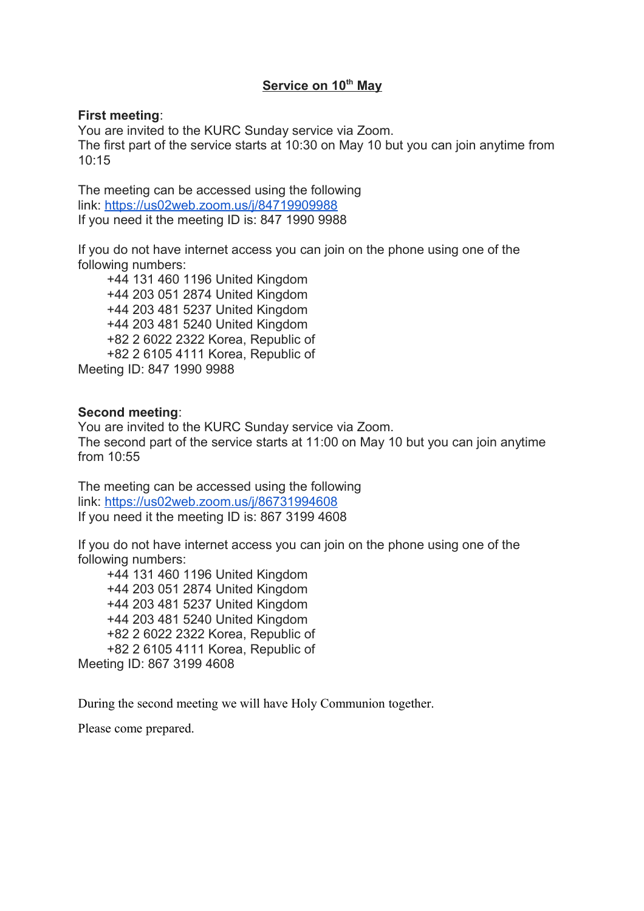# **Service on 10th May**

### **First meeting**:

You are invited to the KURC Sunday service via Zoom. The first part of the service starts at 10:30 on May 10 but you can join anytime from 10:15

The meeting can be accessed using the following link: <https://us02web.zoom.us/j/84719909988> If you need it the meeting ID is: 847 1990 9988

If you do not have internet access you can join on the phone using one of the following numbers:

 +44 131 460 1196 United Kingdom +44 203 051 2874 United Kingdom +44 203 481 5237 United Kingdom +44 203 481 5240 United Kingdom +82 2 6022 2322 Korea, Republic of +82 2 6105 4111 Korea, Republic of Meeting ID: 847 1990 9988

# **Second meeting**:

You are invited to the KURC Sunday service via Zoom. The second part of the service starts at 11:00 on May 10 but you can join anytime from 10:55

The meeting can be accessed using the following link: <https://us02web.zoom.us/j/86731994608> If you need it the meeting ID is: 867 3199 4608

If you do not have internet access you can join on the phone using one of the following numbers:

 +44 131 460 1196 United Kingdom +44 203 051 2874 United Kingdom +44 203 481 5237 United Kingdom +44 203 481 5240 United Kingdom +82 2 6022 2322 Korea, Republic of +82 2 6105 4111 Korea, Republic of Meeting ID: 867 3199 4608

During the second meeting we will have Holy Communion together.

Please come prepared.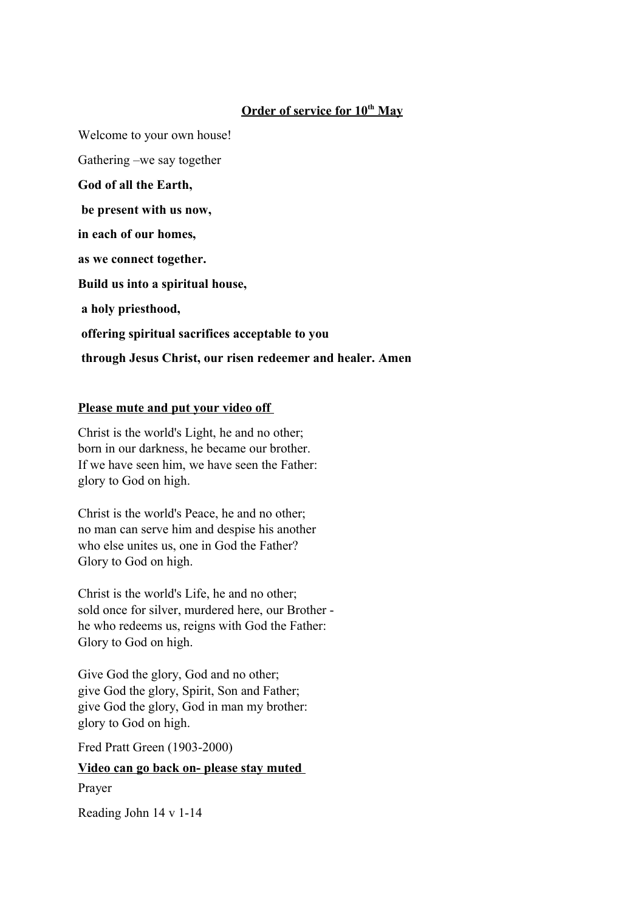# **Order of service for 10th May**

Welcome to your own house! Gathering –we say together **God of all the Earth, be present with us now, in each of our homes, as we connect together. Build us into a spiritual house, a holy priesthood, offering spiritual sacrifices acceptable to you through Jesus Christ, our risen redeemer and healer. Amen**

## **Please mute and put your video off**

Christ is the world's Light, he and no other; born in our darkness, he became our brother. If we have seen him, we have seen the Father: glory to God on high.

Christ is the world's Peace, he and no other; no man can serve him and despise his another who else unites us, one in God the Father? Glory to God on high.

Christ is the world's Life, he and no other; sold once for silver, murdered here, our Brother he who redeems us, reigns with God the Father: Glory to God on high.

Give God the glory, God and no other; give God the glory, Spirit, Son and Father; give God the glory, God in man my brother: glory to God on high.

Fred Pratt Green (1903-2000)

### **Video can go back on- please stay muted**

Prayer

Reading John 14 v 1-14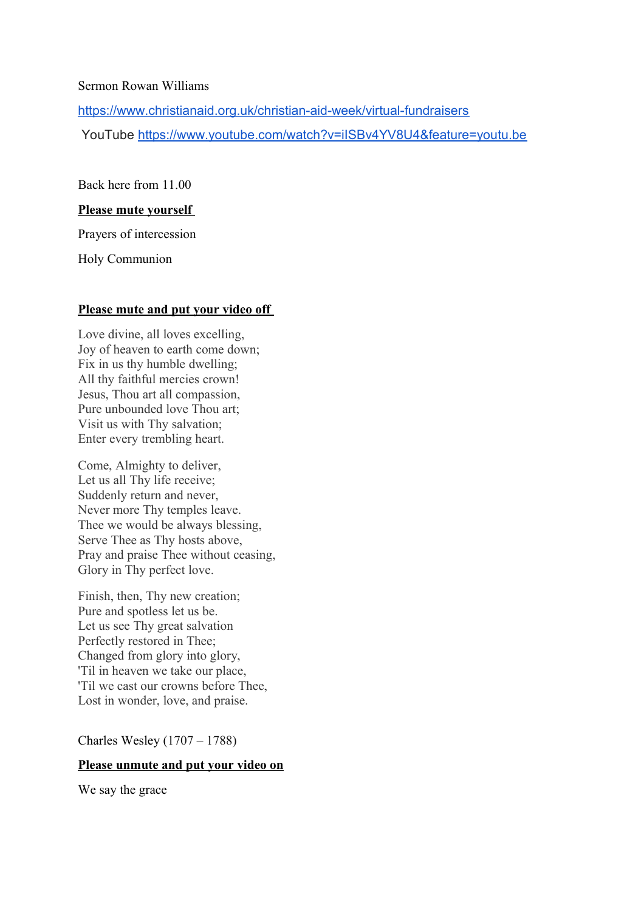#### Sermon Rowan Williams

<https://www.christianaid.org.uk/christian-aid-week/virtual-fundraisers>

YouTube <https://www.youtube.com/watch?v=iISBv4YV8U4&feature=youtu.be>

Back here from 11.00

#### **Please mute yourself**

Prayers of intercession

Holy Communion

#### **Please mute and put your video off**

Love divine, all loves excelling, Joy of heaven to earth come down; Fix in us thy humble dwelling; All thy faithful mercies crown! Jesus, Thou art all compassion, Pure unbounded love Thou art; Visit us with Thy salvation; Enter every trembling heart.

Come, Almighty to deliver, Let us all Thy life receive; Suddenly return and never, Never more Thy temples leave. Thee we would be always blessing, Serve Thee as Thy hosts above, Pray and praise Thee without ceasing, Glory in Thy perfect love.

Finish, then, Thy new creation; Pure and spotless let us be. Let us see Thy great salvation Perfectly restored in Thee; Changed from glory into glory, 'Til in heaven we take our place, 'Til we cast our crowns before Thee, Lost in wonder, love, and praise.

Charles Wesley (1707 – 1788)

### **Please unmute and put your video on**

We say the grace